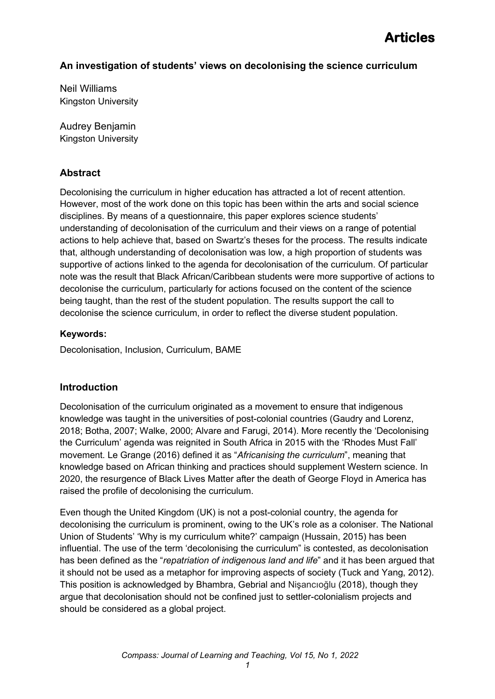### **An investigation of students' views on decolonising the science curriculum**

Neil Williams Kingston University

Audrey Benjamin Kingston University

### **Abstract**

Decolonising the curriculum in higher education has attracted a lot of recent attention. However, most of the work done on this topic has been within the arts and social science disciplines. By means of a questionnaire, this paper explores science students' understanding of decolonisation of the curriculum and their views on a range of potential actions to help achieve that, based on Swartz's theses for the process. The results indicate that, although understanding of decolonisation was low, a high proportion of students was supportive of actions linked to the agenda for decolonisation of the curriculum. Of particular note was the result that Black African/Caribbean students were more supportive of actions to decolonise the curriculum, particularly for actions focused on the content of the science being taught, than the rest of the student population. The results support the call to decolonise the science curriculum, in order to reflect the diverse student population.

### **Keywords:**

Decolonisation, Inclusion, Curriculum, BAME

### **Introduction**

Decolonisation of the curriculum originated as a movement to ensure that indigenous knowledge was taught in the universities of post-colonial countries (Gaudry and Lorenz, 2018; Botha, 2007; Walke, 2000; Alvare and Farugi, 2014). More recently the 'Decolonising the Curriculum' agenda was reignited in South Africa in 2015 with the 'Rhodes Must Fall' movement. Le Grange (2016) defined it as "*Africanising the curriculum*", meaning that knowledge based on African thinking and practices should supplement Western science. In 2020, the resurgence of Black Lives Matter after the death of George Floyd in America has raised the profile of decolonising the curriculum.

Even though the United Kingdom (UK) is not a post-colonial country, the agenda for decolonising the curriculum is prominent, owing to the UK's role as a coloniser. The National Union of Students' 'Why is my curriculum white?' campaign (Hussain, 2015) has been influential. The use of the term 'decolonising the curriculum" is contested, as decolonisation has been defined as the "*repatriation of indigenous land and life*" and it has been argued that it should not be used as a metaphor for improving aspects of society (Tuck and Yang, 2012). This position is acknowledged by Bhambra, Gebrial and Nişancıoğlu (2018), though they argue that decolonisation should not be confined just to settler-colonialism projects and should be considered as a global project.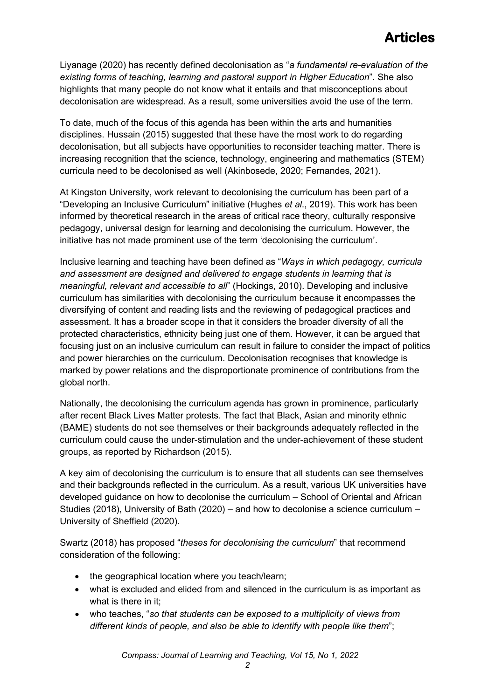Liyanage (2020) has recently defined decolonisation as "*a fundamental re-evaluation of the existing forms of teaching, learning and pastoral support in Higher Education*". She also highlights that many people do not know what it entails and that misconceptions about decolonisation are widespread. As a result, some universities avoid the use of the term.

To date, much of the focus of this agenda has been within the arts and humanities disciplines. Hussain (2015) suggested that these have the most work to do regarding decolonisation, but all subjects have opportunities to reconsider teaching matter. There is increasing recognition that the science, technology, engineering and mathematics (STEM) curricula need to be decolonised as well (Akinbosede, 2020; Fernandes, 2021).

At Kingston University, work relevant to decolonising the curriculum has been part of a "Developing an Inclusive Curriculum" initiative (Hughes *et al*., 2019). This work has been informed by theoretical research in the areas of critical race theory, culturally responsive pedagogy, universal design for learning and decolonising the curriculum. However, the initiative has not made prominent use of the term 'decolonising the curriculum'.

Inclusive learning and teaching have been defined as "*Ways in which pedagogy, curricula and assessment are designed and delivered to engage students in learning that is meaningful, relevant and accessible to all*" (Hockings, 2010). Developing and inclusive curriculum has similarities with decolonising the curriculum because it encompasses the diversifying of content and reading lists and the reviewing of pedagogical practices and assessment. It has a broader scope in that it considers the broader diversity of all the protected characteristics, ethnicity being just one of them. However, it can be argued that focusing just on an inclusive curriculum can result in failure to consider the impact of politics and power hierarchies on the curriculum. Decolonisation recognises that knowledge is marked by power relations and the disproportionate prominence of contributions from the global north.

Nationally, the decolonising the curriculum agenda has grown in prominence, particularly after recent Black Lives Matter protests. The fact that Black, Asian and minority ethnic (BAME) students do not see themselves or their backgrounds adequately reflected in the curriculum could cause the under-stimulation and the under-achievement of these student groups, as reported by Richardson (2015).

A key aim of decolonising the curriculum is to ensure that all students can see themselves and their backgrounds reflected in the curriculum. As a result, various UK universities have developed guidance on how to decolonise the curriculum – School of Oriental and African Studies (2018), University of Bath (2020) – and how to decolonise a science curriculum – University of Sheffield (2020).

Swartz (2018) has proposed "*theses for decolonising the curriculum*" that recommend consideration of the following:

- the geographical location where you teach/learn;
- what is excluded and elided from and silenced in the curriculum is as important as what is there in it;
- who teaches, "*so that students can be exposed to a multiplicity of views from different kinds of people, and also be able to identify with people like them*";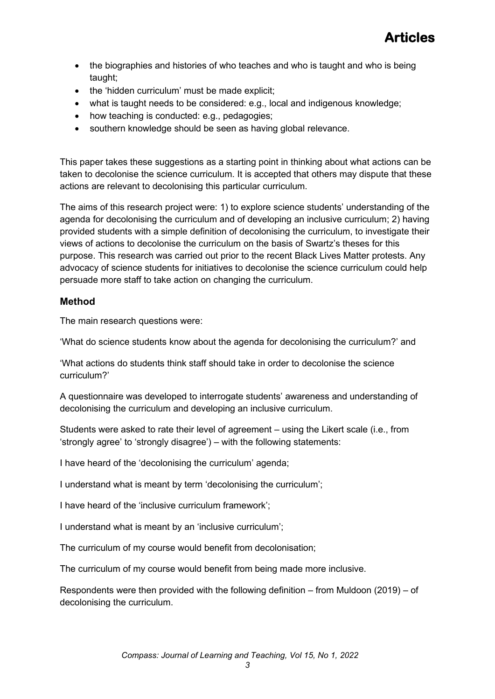- the biographies and histories of who teaches and who is taught and who is being taught;
- the 'hidden curriculum' must be made explicit;
- what is taught needs to be considered: e.g., local and indigenous knowledge;
- how teaching is conducted: e.g., pedagogies:
- southern knowledge should be seen as having global relevance.

This paper takes these suggestions as a starting point in thinking about what actions can be taken to decolonise the science curriculum. It is accepted that others may dispute that these actions are relevant to decolonising this particular curriculum.

The aims of this research project were: 1) to explore science students' understanding of the agenda for decolonising the curriculum and of developing an inclusive curriculum; 2) having provided students with a simple definition of decolonising the curriculum, to investigate their views of actions to decolonise the curriculum on the basis of Swartz's theses for this purpose. This research was carried out prior to the recent Black Lives Matter protests. Any advocacy of science students for initiatives to decolonise the science curriculum could help persuade more staff to take action on changing the curriculum.

### **Method**

The main research questions were:

'What do science students know about the agenda for decolonising the curriculum?' and

'What actions do students think staff should take in order to decolonise the science curriculum?'

A questionnaire was developed to interrogate students' awareness and understanding of decolonising the curriculum and developing an inclusive curriculum.

Students were asked to rate their level of agreement – using the Likert scale (i.e., from 'strongly agree' to 'strongly disagree') – with the following statements:

I have heard of the 'decolonising the curriculum' agenda;

I understand what is meant by term 'decolonising the curriculum';

I have heard of the 'inclusive curriculum framework';

I understand what is meant by an 'inclusive curriculum';

The curriculum of my course would benefit from decolonisation;

The curriculum of my course would benefit from being made more inclusive.

Respondents were then provided with the following definition – from Muldoon (2019) – of decolonising the curriculum.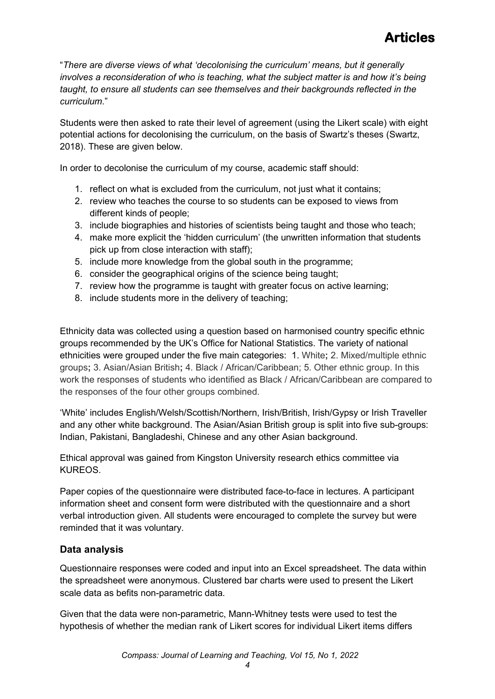"*There are diverse views of what 'decolonising the curriculum' means, but it generally involves a reconsideration of who is teaching, what the subject matter is and how it's being taught, to ensure all students can see themselves and their backgrounds reflected in the curriculum*."

Students were then asked to rate their level of agreement (using the Likert scale) with eight potential actions for decolonising the curriculum, on the basis of Swartz's theses (Swartz, 2018). These are given below.

In order to decolonise the curriculum of my course, academic staff should:

- 1. reflect on what is excluded from the curriculum, not just what it contains;
- 2. review who teaches the course to so students can be exposed to views from different kinds of people;
- 3. include biographies and histories of scientists being taught and those who teach;
- 4. make more explicit the 'hidden curriculum' (the unwritten information that students pick up from close interaction with staff);
- 5. include more knowledge from the global south in the programme;
- 6. consider the geographical origins of the science being taught;
- 7. review how the programme is taught with greater focus on active learning;
- 8. include students more in the delivery of teaching;

Ethnicity data was collected using a question based on harmonised country specific ethnic groups recommended by the UK's Office for National Statistics. The variety of national ethnicities were grouped under the five main categories: 1. White**;** 2. Mixed/multiple ethnic groups**;** 3. Asian/Asian British**;** 4. Black / African/Caribbean; 5. Other ethnic group. In this work the responses of students who identified as Black / African/Caribbean are compared to the responses of the four other groups combined.

'White' includes English/Welsh/Scottish/Northern, Irish/British, Irish/Gypsy or Irish Traveller and any other white background. The Asian/Asian British group is split into five sub-groups: Indian, Pakistani, Bangladeshi, Chinese and any other Asian background.

Ethical approval was gained from Kingston University research ethics committee via KUREOS.

Paper copies of the questionnaire were distributed face-to-face in lectures. A participant information sheet and consent form were distributed with the questionnaire and a short verbal introduction given. All students were encouraged to complete the survey but were reminded that it was voluntary.

### **Data analysis**

Questionnaire responses were coded and input into an Excel spreadsheet. The data within the spreadsheet were anonymous. Clustered bar charts were used to present the Likert scale data as befits non-parametric data.

Given that the data were non-parametric, Mann-Whitney tests were used to test the hypothesis of whether the median rank of Likert scores for individual Likert items differs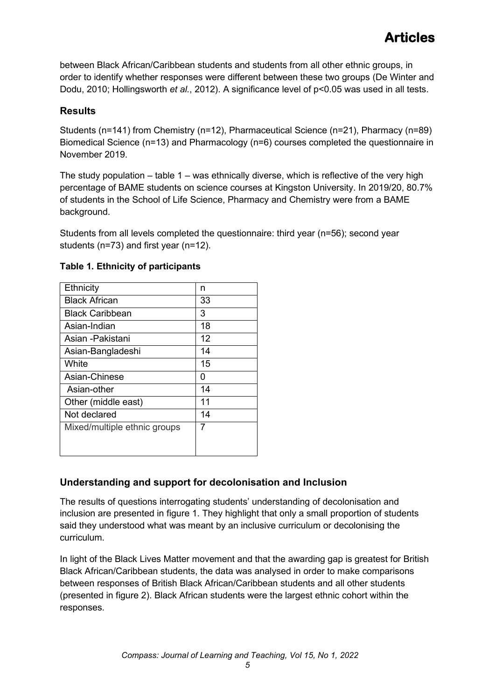between Black African/Caribbean students and students from all other ethnic groups, in order to identify whether responses were different between these two groups (De Winter and Dodu, 2010; Hollingsworth *et al.*, 2012). A significance level of p<0.05 was used in all tests.

### **Results**

Students (n=141) from Chemistry (n=12), Pharmaceutical Science (n=21), Pharmacy (n=89) Biomedical Science (n=13) and Pharmacology (n=6) courses completed the questionnaire in November 2019.

The study population – table  $1 - w$  was ethnically diverse, which is reflective of the very high percentage of BAME students on science courses at Kingston University. In 2019/20, 80.7% of students in the School of Life Science, Pharmacy and Chemistry were from a BAME background.

Students from all levels completed the questionnaire: third year (n=56); second year students (n=73) and first year (n=12).

| Ethnicity                    | n  |
|------------------------------|----|
| <b>Black African</b>         | 33 |
| <b>Black Caribbean</b>       | 3  |
| Asian-Indian                 | 18 |
| Asian -Pakistani             | 12 |
| Asian-Bangladeshi            | 14 |
| White                        | 15 |
| Asian-Chinese                | O  |
| Asian-other                  | 14 |
| Other (middle east)          | 11 |
| Not declared                 | 14 |
| Mixed/multiple ethnic groups | 7  |
|                              |    |
|                              |    |

### **Table 1. Ethnicity of participants**

### **Understanding and support for decolonisation and Inclusion**

The results of questions interrogating students' understanding of decolonisation and inclusion are presented in figure 1. They highlight that only a small proportion of students said they understood what was meant by an inclusive curriculum or decolonising the curriculum.

In light of the Black Lives Matter movement and that the awarding gap is greatest for British Black African/Caribbean students, the data was analysed in order to make comparisons between responses of British Black African/Caribbean students and all other students (presented in figure 2). Black African students were the largest ethnic cohort within the responses.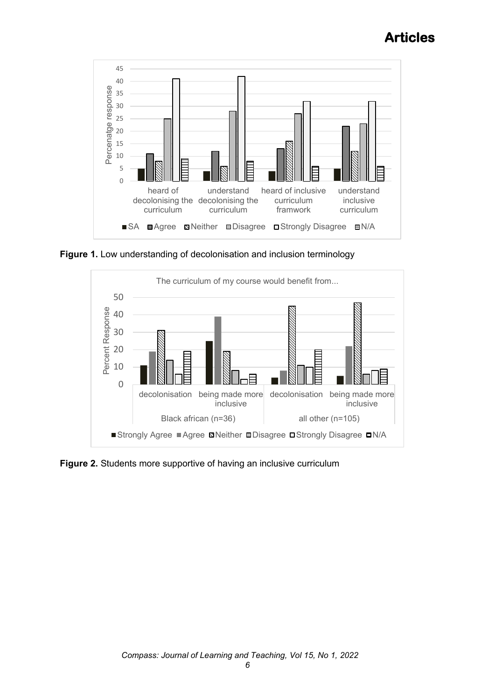

**Figure 1.** Low understanding of decolonisation and inclusion terminology



**Figure 2.** Students more supportive of having an inclusive curriculum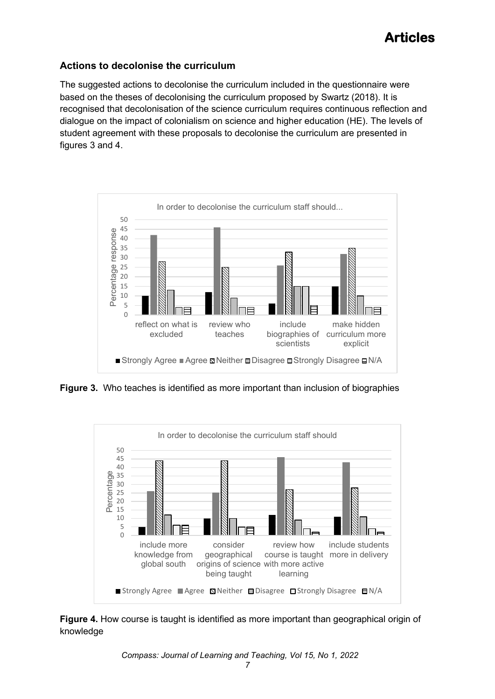### **Actions to decolonise the curriculum**

The suggested actions to decolonise the curriculum included in the questionnaire were based on the theses of decolonising the curriculum proposed by Swartz (2018). It is recognised that decolonisation of the science curriculum requires continuous reflection and dialogue on the impact of colonialism on science and higher education (HE). The levels of student agreement with these proposals to decolonise the curriculum are presented in figures 3 and 4.



**Figure 3.** Who teaches is identified as more important than inclusion of biographies



**Figure 4.** How course is taught is identified as more important than geographical origin of knowledge

*Compass: Journal of Learning and Teaching, Vol 15, No 1, 2022*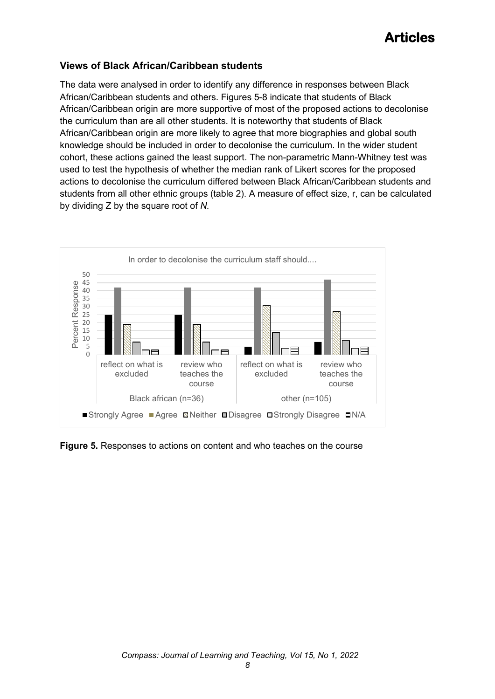### **Views of Black African/Caribbean students**

The data were analysed in order to identify any difference in responses between Black African/Caribbean students and others. Figures 5-8 indicate that students of Black African/Caribbean origin are more supportive of most of the proposed actions to decolonise the curriculum than are all other students. It is noteworthy that students of Black African/Caribbean origin are more likely to agree that more biographies and global south knowledge should be included in order to decolonise the curriculum. In the wider student cohort, these actions gained the least support. The non-parametric Mann-Whitney test was used to test the hypothesis of whether the median rank of Likert scores for the proposed actions to decolonise the curriculum differed between Black African/Caribbean students and students from all other ethnic groups (table 2). A measure of effect size, r, can be calculated by dividing Z by the square root of *N.*



**Figure 5.** Responses to actions on content and who teaches on the course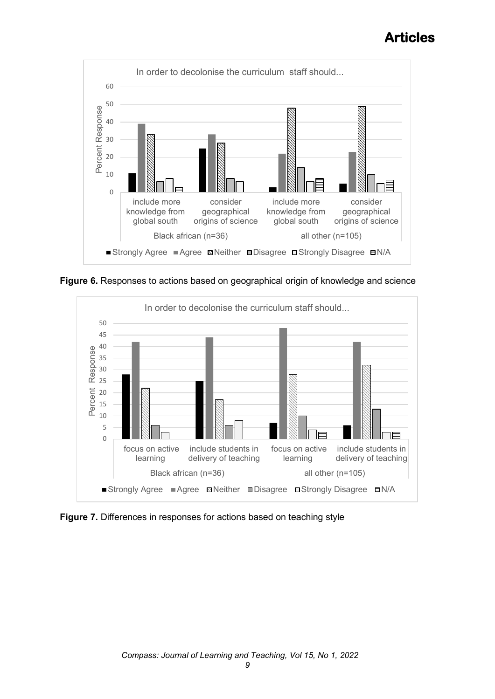

**Figure 6.** Responses to actions based on geographical origin of knowledge and science



**Figure 7.** Differences in responses for actions based on teaching style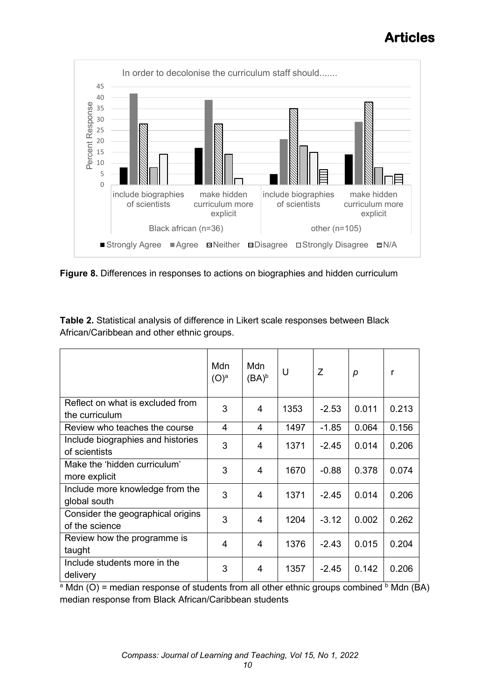

**Figure 8.** Differences in responses to actions on biographies and hidden curriculum

| Table 2. Statistical analysis of difference in Likert scale responses between Black |
|-------------------------------------------------------------------------------------|
| African/Caribbean and other ethnic groups.                                          |

|                                                     | Mdn<br>$(O)^a$ | Mdn<br>$(BA)^b$ | U    | Ζ       | p     | r          |
|-----------------------------------------------------|----------------|-----------------|------|---------|-------|------------|
| Reflect on what is excluded from<br>the curriculum  | 3              | 4               | 1353 | $-2.53$ | 0.011 | 0.213      |
| Review who teaches the course                       | 4              | 4               | 1497 | $-1.85$ | 0.064 | 0.156      |
| Include biographies and histories<br>of scientists  | 3              | 4               | 1371 | $-2.45$ | 0.014 | 0.206      |
| Make the 'hidden curriculum'<br>more explicit       | 3              | 4               | 1670 | $-0.88$ | 0.378 | 0.074      |
| Include more knowledge from the<br>global south     | 3              | 4               | 1371 | $-2.45$ | 0.014 | 0.206      |
| Consider the geographical origins<br>of the science | 3              | 4               | 1204 | $-3.12$ | 0.002 | 0.262      |
| Review how the programme is<br>taught               | 4              | 4               | 1376 | $-2.43$ | 0.015 | 0.204      |
| Include students more in the<br>delivery            | 3              | 4               | 1357 | $-2.45$ | 0.142 | 0.206<br>. |

<sup>a</sup> Mdn (O) = median response of students from all other ethnic groups combined  $\circ$  Mdn (BA) median response from Black African/Caribbean students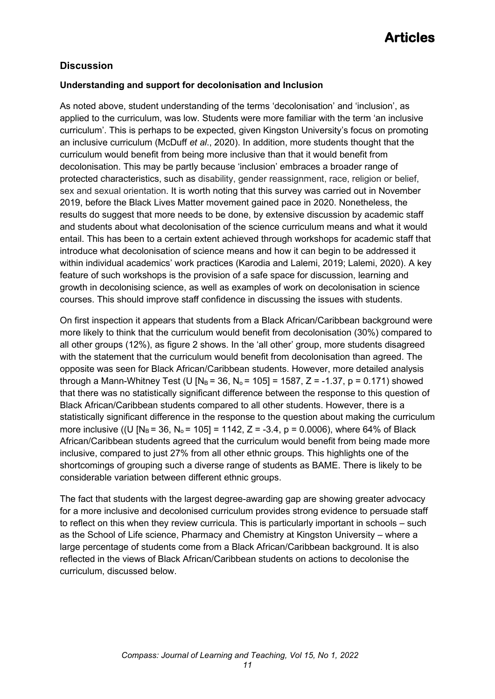### **Discussion**

#### **Understanding and support for decolonisation and Inclusion**

As noted above, student understanding of the terms 'decolonisation' and 'inclusion', as applied to the curriculum, was low. Students were more familiar with the term 'an inclusive curriculum'. This is perhaps to be expected, given Kingston University's focus on promoting an inclusive curriculum (McDuff *et al*., 2020). In addition, more students thought that the curriculum would benefit from being more inclusive than that it would benefit from decolonisation. This may be partly because 'inclusion' embraces a broader range of protected characteristics, such as disability, gender reassignment, race, religion or belief, sex and sexual orientation. It is worth noting that this survey was carried out in November 2019, before the Black Lives Matter movement gained pace in 2020. Nonetheless, the results do suggest that more needs to be done, by extensive discussion by academic staff and students about what decolonisation of the science curriculum means and what it would entail. This has been to a certain extent achieved through workshops for academic staff that introduce what decolonisation of science means and how it can begin to be addressed it within individual academics' work practices (Karodia and Lalemi, 2019; Lalemi, 2020). A key feature of such workshops is the provision of a safe space for discussion, learning and growth in decolonising science, as well as examples of work on decolonisation in science courses. This should improve staff confidence in discussing the issues with students.

On first inspection it appears that students from a Black African/Caribbean background were more likely to think that the curriculum would benefit from decolonisation (30%) compared to all other groups (12%), as figure 2 shows. In the 'all other' group, more students disagreed with the statement that the curriculum would benefit from decolonisation than agreed. The opposite was seen for Black African/Caribbean students. However, more detailed analysis through a Mann-Whitney Test (U  $[N_B = 36, N_0 = 105] = 1587$ , Z = -1.37, p = 0.171) showed that there was no statistically significant difference between the response to this question of Black African/Caribbean students compared to all other students. However, there is a statistically significant difference in the response to the question about making the curriculum more inclusive ((U  $[N_B = 36, N_o = 105] = 1142, Z = -3.4, p = 0.0006$ ), where 64% of Black African/Caribbean students agreed that the curriculum would benefit from being made more inclusive, compared to just 27% from all other ethnic groups. This highlights one of the shortcomings of grouping such a diverse range of students as BAME. There is likely to be considerable variation between different ethnic groups.

The fact that students with the largest degree-awarding gap are showing greater advocacy for a more inclusive and decolonised curriculum provides strong evidence to persuade staff to reflect on this when they review curricula. This is particularly important in schools – such as the School of Life science, Pharmacy and Chemistry at Kingston University – where a large percentage of students come from a Black African/Caribbean background. It is also reflected in the views of Black African/Caribbean students on actions to decolonise the curriculum, discussed below.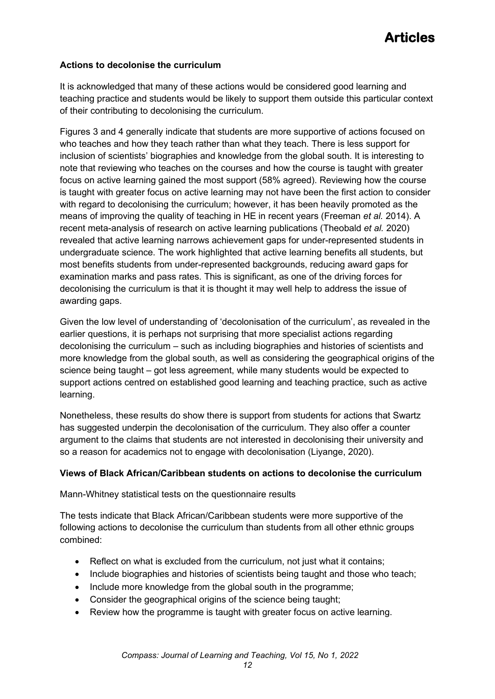#### **Actions to decolonise the curriculum**

It is acknowledged that many of these actions would be considered good learning and teaching practice and students would be likely to support them outside this particular context of their contributing to decolonising the curriculum.

Figures 3 and 4 generally indicate that students are more supportive of actions focused on who teaches and how they teach rather than what they teach. There is less support for inclusion of scientists' biographies and knowledge from the global south. It is interesting to note that reviewing who teaches on the courses and how the course is taught with greater focus on active learning gained the most support (58% agreed). Reviewing how the course is taught with greater focus on active learning may not have been the first action to consider with regard to decolonising the curriculum; however, it has been heavily promoted as the means of improving the quality of teaching in HE in recent years (Freeman *et al.* 2014). A recent meta-analysis of research on active learning publications (Theobald *et al.* 2020) revealed that active learning narrows achievement gaps for under-represented students in undergraduate science. The work highlighted that active learning benefits all students, but most benefits students from under-represented backgrounds, reducing award gaps for examination marks and pass rates. This is significant, as one of the driving forces for decolonising the curriculum is that it is thought it may well help to address the issue of awarding gaps.

Given the low level of understanding of 'decolonisation of the curriculum', as revealed in the earlier questions, it is perhaps not surprising that more specialist actions regarding decolonising the curriculum – such as including biographies and histories of scientists and more knowledge from the global south, as well as considering the geographical origins of the science being taught – got less agreement, while many students would be expected to support actions centred on established good learning and teaching practice, such as active learning.

Nonetheless, these results do show there is support from students for actions that Swartz has suggested underpin the decolonisation of the curriculum. They also offer a counter argument to the claims that students are not interested in decolonising their university and so a reason for academics not to engage with decolonisation (Liyange, 2020).

#### **Views of Black African/Caribbean students on actions to decolonise the curriculum**

Mann-Whitney statistical tests on the questionnaire results

The tests indicate that Black African/Caribbean students were more supportive of the following actions to decolonise the curriculum than students from all other ethnic groups combined:

- Reflect on what is excluded from the curriculum, not just what it contains;
- Include biographies and histories of scientists being taught and those who teach;
- Include more knowledge from the global south in the programme;
- Consider the geographical origins of the science being taught;
- Review how the programme is taught with greater focus on active learning.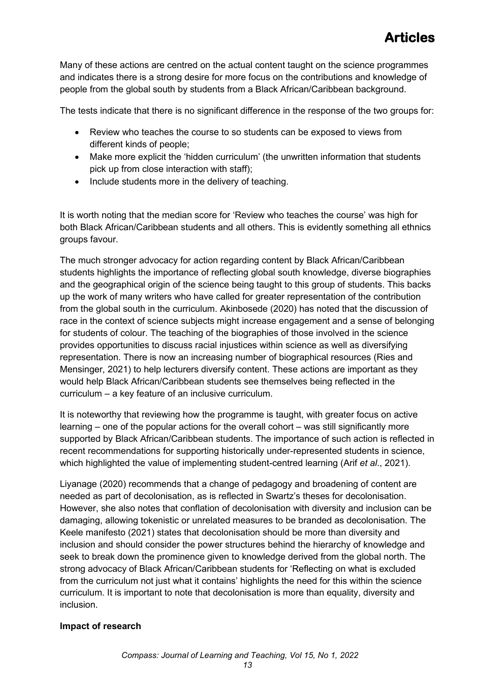Many of these actions are centred on the actual content taught on the science programmes and indicates there is a strong desire for more focus on the contributions and knowledge of people from the global south by students from a Black African/Caribbean background.

The tests indicate that there is no significant difference in the response of the two groups for:

- Review who teaches the course to so students can be exposed to views from different kinds of people;
- Make more explicit the 'hidden curriculum' (the unwritten information that students pick up from close interaction with staff);
- Include students more in the delivery of teaching.

It is worth noting that the median score for 'Review who teaches the course' was high for both Black African/Caribbean students and all others. This is evidently something all ethnics groups favour.

The much stronger advocacy for action regarding content by Black African/Caribbean students highlights the importance of reflecting global south knowledge, diverse biographies and the geographical origin of the science being taught to this group of students. This backs up the work of many writers who have called for greater representation of the contribution from the global south in the curriculum. Akinbosede (2020) has noted that the discussion of race in the context of science subjects might increase engagement and a sense of belonging for students of colour. The teaching of the biographies of those involved in the science provides opportunities to discuss racial injustices within science as well as diversifying representation. There is now an increasing number of biographical resources (Ries and Mensinger, 2021) to help lecturers diversify content. These actions are important as they would help Black African/Caribbean students see themselves being reflected in the curriculum – a key feature of an inclusive curriculum.

It is noteworthy that reviewing how the programme is taught, with greater focus on active learning – one of the popular actions for the overall cohort – was still significantly more supported by Black African/Caribbean students. The importance of such action is reflected in recent recommendations for supporting historically under-represented students in science, which highlighted the value of implementing student-centred learning (Arif *et al*., 2021).

Liyanage (2020) recommends that a change of pedagogy and broadening of content are needed as part of decolonisation, as is reflected in Swartz's theses for decolonisation. However, she also notes that conflation of decolonisation with diversity and inclusion can be damaging, allowing tokenistic or unrelated measures to be branded as decolonisation. The Keele manifesto (2021) states that decolonisation should be more than diversity and inclusion and should consider the power structures behind the hierarchy of knowledge and seek to break down the prominence given to knowledge derived from the global north. The strong advocacy of Black African/Caribbean students for 'Reflecting on what is excluded from the curriculum not just what it contains' highlights the need for this within the science curriculum. It is important to note that decolonisation is more than equality, diversity and inclusion.

### **Impact of research**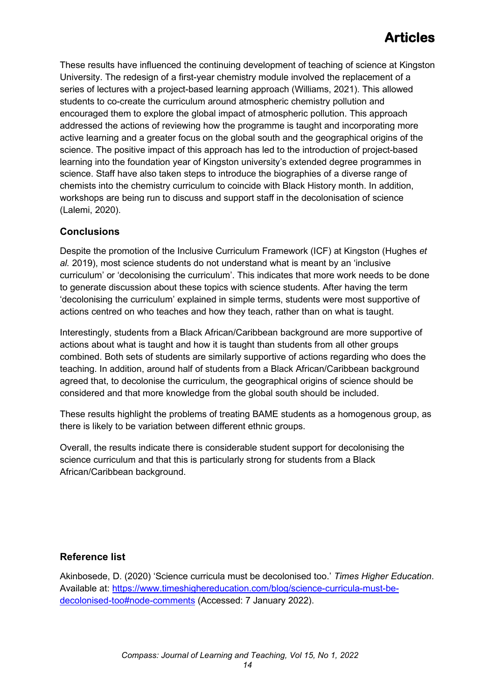These results have influenced the continuing development of teaching of science at Kingston University. The redesign of a first-year chemistry module involved the replacement of a series of lectures with a project-based learning approach (Williams, 2021). This allowed students to co-create the curriculum around atmospheric chemistry pollution and encouraged them to explore the global impact of atmospheric pollution. This approach addressed the actions of reviewing how the programme is taught and incorporating more active learning and a greater focus on the global south and the geographical origins of the science. The positive impact of this approach has led to the introduction of project-based learning into the foundation year of Kingston university's extended degree programmes in science. Staff have also taken steps to introduce the biographies of a diverse range of chemists into the chemistry curriculum to coincide with Black History month. In addition, workshops are being run to discuss and support staff in the decolonisation of science (Lalemi, 2020).

### **Conclusions**

Despite the promotion of the Inclusive Curriculum Framework (ICF) at Kingston (Hughes *et al.* 2019), most science students do not understand what is meant by an 'inclusive curriculum' or 'decolonising the curriculum'. This indicates that more work needs to be done to generate discussion about these topics with science students. After having the term 'decolonising the curriculum' explained in simple terms, students were most supportive of actions centred on who teaches and how they teach, rather than on what is taught.

Interestingly, students from a Black African/Caribbean background are more supportive of actions about what is taught and how it is taught than students from all other groups combined. Both sets of students are similarly supportive of actions regarding who does the teaching. In addition, around half of students from a Black African/Caribbean background agreed that, to decolonise the curriculum, the geographical origins of science should be considered and that more knowledge from the global south should be included.

These results highlight the problems of treating BAME students as a homogenous group, as there is likely to be variation between different ethnic groups.

Overall, the results indicate there is considerable student support for decolonising the science curriculum and that this is particularly strong for students from a Black African/Caribbean background.

### **Reference list**

Akinbosede, D. (2020) 'Science curricula must be decolonised too.' *Times Higher Education*. Available at: [https://www.timeshighereducation.com/blog/science-curricula-must-be](https://www.timeshighereducation.com/blog/science-curricula-must-be-decolonised-too#node-comments)[decolonised-too#node-comments](https://www.timeshighereducation.com/blog/science-curricula-must-be-decolonised-too#node-comments) (Accessed: 7 January 2022).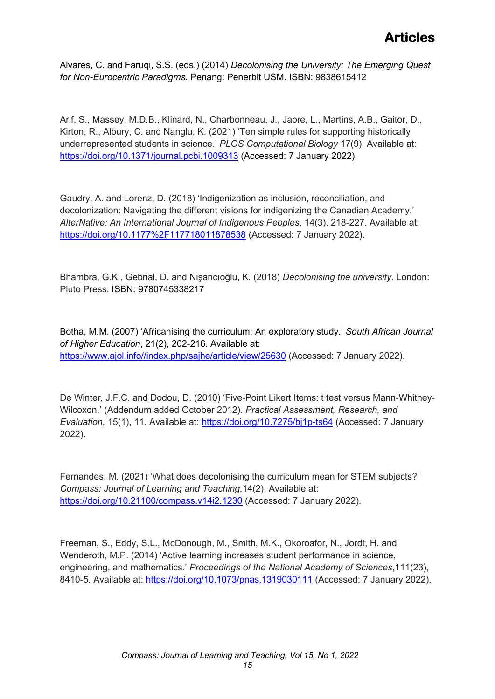Alvares, C. and Faruqi, S.S. (eds.) (2014) *Decolonising the University: The Emerging Quest for Non-Eurocentric Paradigms*. Penang: Penerbit USM. ISBN: 9838615412

Arif, S., Massey, M.D.B., Klinard, N., Charbonneau, J., Jabre, L., Martins, A.B., Gaitor, D., Kirton, R., Albury, C. and Nanglu, K. (2021) 'Ten simple rules for supporting historically underrepresented students in science.' *PLOS Computational Biology* 17(9). Available at: <https://doi.org/10.1371/journal.pcbi.1009313> (Accessed: 7 January 2022).

Gaudry, A. and Lorenz, D. (2018) 'Indigenization as inclusion, reconciliation, and decolonization: Navigating the different visions for indigenizing the Canadian Academy.' *AlterNative: An International Journal of Indigenous Peoples*, 14(3), 218-227. Available at: <https://doi.org/10.1177%2F117718011878538> (Accessed: 7 January 2022).

Bhambra, G.K., Gebrial, D. and Nişancıoğlu, K. (2018) *Decolonising the university*. London: Pluto Press. ISBN: 9780745338217

Botha, M.M. (2007) 'Africanising the curriculum: An exploratory study.' *South African Journal of Higher Education*, 21(2), 202-216. Available at: [https://www.ajol.info//index.php/sajhe/article/view/25630](https://www.ajol.info/index.php/sajhe/article/view/25630) (Accessed: 7 January 2022).

De Winter, J.F.C. and Dodou, D. (2010) 'Five-Point Likert Items: t test versus Mann-Whitney-Wilcoxon.' (Addendum added October 2012). *Practical Assessment, Research, and Evaluation*, 15(1), 11. Available at:<https://doi.org/10.7275/bj1p-ts64> (Accessed: 7 January 2022).

Fernandes, M. (2021) 'What does decolonising the curriculum mean for STEM subjects?' *Compass: Journal of Learning and Teaching*,14(2). Available at: <https://doi.org/10.21100/compass.v14i2.1230> (Accessed: 7 January 2022).

Freeman, S., Eddy, S.L., McDonough, M., Smith, M.K., Okoroafor, N., Jordt, H. and Wenderoth, M.P. (2014) 'Active learning increases student performance in science, engineering, and mathematics.' *Proceedings of the National Academy of Sciences*,111(23), 8410-5. Available at:<https://doi.org/10.1073/pnas.1319030111> (Accessed: 7 January 2022).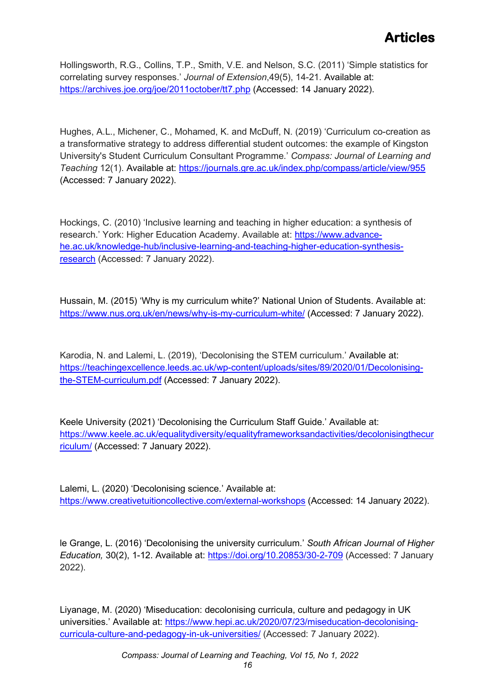Hollingsworth, R.G., Collins, T.P., Smith, V.E. and Nelson, S.C. (2011) 'Simple statistics for correlating survey responses.' *Journal of Extension*,49(5), 14-21. Available at: <https://archives.joe.org/joe/2011october/tt7.php> (Accessed: 14 January 2022).

Hughes, A.L., Michener, C., Mohamed, K. and McDuff, N. (2019) 'Curriculum co-creation as a transformative strategy to address differential student outcomes: the example of Kingston University's Student Curriculum Consultant Programme.' *Compass: Journal of Learning and Teaching* 12(1). Available at: <https://journals.gre.ac.uk/index.php/compass/article/view/955> (Accessed: 7 January 2022).

Hockings, C. (2010) 'Inclusive learning and teaching in higher education: a synthesis of research.' York: Higher Education Academy. Available at: [https://www.advance](https://www.advance-he.ac.uk/knowledge-hub/inclusive-learning-and-teaching-higher-education-synthesis-research)[he.ac.uk/knowledge-hub/inclusive-learning-and-teaching-higher-education-synthesis](https://www.advance-he.ac.uk/knowledge-hub/inclusive-learning-and-teaching-higher-education-synthesis-research)[research](https://www.advance-he.ac.uk/knowledge-hub/inclusive-learning-and-teaching-higher-education-synthesis-research) (Accessed: 7 January 2022).

Hussain, M. (2015) 'Why is my curriculum white?' National Union of Students. Available at[:](https://www.nus.org.uk/en/news/why-is-my-curriculum-white/) <https://www.nus.org.uk/en/news/why-is-my-curriculum-white/> (Accessed: 7 January 2022).

Karodia, N. and Lalemi, L. (2019), 'Decolonising the STEM curriculum.' Available at: [https://teachingexcellence.leeds.ac.uk/wp-content/uploads/sites/89/2020/01/Decolonising](https://teachingexcellence.leeds.ac.uk/wp-content/uploads/sites/89/2020/01/Decolonising-the-STEM-curriculum.pdf)[the-STEM-curriculum.pdf](https://teachingexcellence.leeds.ac.uk/wp-content/uploads/sites/89/2020/01/Decolonising-the-STEM-curriculum.pdf) (Accessed: 7 January 2022).

Keele University (2021) 'Decolonising the Curriculum Staff Guide.' Available at: [https://www.keele.ac.uk/equalitydiversity/equalityframeworksandactivities/decolonisingthecur](https://www.keele.ac.uk/equalitydiversity/equalityframeworksandactivities/decolonisingthecurriculum/) [riculum/](https://www.keele.ac.uk/equalitydiversity/equalityframeworksandactivities/decolonisingthecurriculum/) (Accessed: 7 January 2022).

Lalemi, L. (2020) 'Decolonising science.' Available at: <https://www.creativetuitioncollective.com/external-workshops> (Accessed: 14 January 2022).

le Grange, L. (2016) 'Decolonising the university curriculum.' *South African Journal of Higher Education,* 30(2), 1-12. Available at: <https://doi.org/10.20853/30-2-709> (Accessed: 7 January 2022).

Liyanage, M. (2020) 'Miseducation: decolonising curricula, culture and pedagogy in UK universities.' Available at: [https://www.hepi.ac.uk/2020/07/23/miseducation-decolonising](https://www.hepi.ac.uk/2020/07/23/miseducation-decolonising-curricula-culture-and-pedagogy-in-uk-universities/)[curricula-culture-and-pedagogy-in-uk-universities/](https://www.hepi.ac.uk/2020/07/23/miseducation-decolonising-curricula-culture-and-pedagogy-in-uk-universities/) (Accessed: 7 January 2022).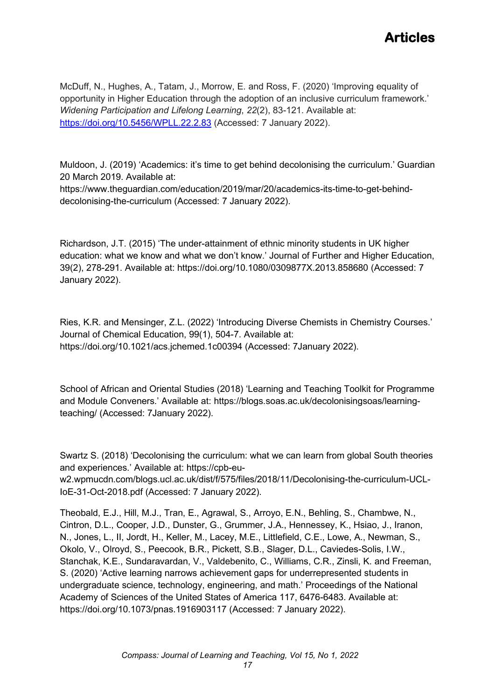McDuff, N., Hughes, A., Tatam, J., Morrow, E. and Ross, F. (2020) 'Improving equality of opportunity in Higher Education through the adoption of an inclusive curriculum framework.' *Widening Participation and Lifelong Learning*, *22*(2), 83-121. Available at: <https://doi.org/10.5456/WPLL.22.2.83> (Accessed: 7 January 2022).

Muldoon, J. (2019) 'Academics: it's time to get behind decolonising the curriculum.' Guardian 20 March 2019. Available at:

[https://www.theguardian.com/education/2019/mar/20/academics-its-time-to-get-behind](https://www.theguardian.com/education/2019/mar/20/academics-its-time-to-get-behind-decolonising-the-curriculum)[decolonising-the-curriculum](https://www.theguardian.com/education/2019/mar/20/academics-its-time-to-get-behind-decolonising-the-curriculum) (Accessed: 7 January 2022).

Richardson, J.T. (2015) 'The under-attainment of ethnic minority students in UK higher education: what we know and what we don't know.' Journal of Further and Higher Education, 39(2), 278-291. Available at:<https://doi.org/10.1080/0309877X.2013.858680> (Accessed: 7 January 2022).

Ries, K.R. and Mensinger, Z.L. (2022) 'Introducing Diverse Chemists in Chemistry Courses.' Journal of Chemical Education, 99(1), 504-7. Available at: <https://doi.org/10.1021/acs.jchemed.1c00394> (Accessed: 7January 2022).

School of African and Oriental Studies (2018) 'Learning and Teaching Toolkit for Programme and Module Conveners.' Available at: [https://blogs.soas.ac.uk/decolonisingsoas/learning](https://blogs.soas.ac.uk/decolonisingsoas/learning-teaching/)[teaching/](https://blogs.soas.ac.uk/decolonisingsoas/learning-teaching/) (Accessed: 7January 2022).

Swartz S. (2018) 'Decolonising the curriculum: what we can learn from global South theories and experiences.' Available at: [https://cpb-eu](https://cpb-eu-w2.wpmucdn.com/blogs.ucl.ac.uk/dist/f/575/files/2018/11/Decolonising-the-curriculum-UCL-IoE-31-Oct-2018.pdf)[w2.wpmucdn.com/blogs.ucl.ac.uk/dist/f/575/files/2018/11/Decolonising-the-curriculum-UCL-](https://cpb-eu-w2.wpmucdn.com/blogs.ucl.ac.uk/dist/f/575/files/2018/11/Decolonising-the-curriculum-UCL-IoE-31-Oct-2018.pdf)[IoE-31-Oct-2018.pdf](https://cpb-eu-w2.wpmucdn.com/blogs.ucl.ac.uk/dist/f/575/files/2018/11/Decolonising-the-curriculum-UCL-IoE-31-Oct-2018.pdf) (Accessed: 7 January 2022).

Theobald, E.J., Hill, M.J., Tran, E., Agrawal, S., Arroyo, E.N., Behling, S., Chambwe, N., Cintron, D.L., Cooper, J.D., Dunster, G., Grummer, J.A., Hennessey, K., Hsiao, J., Iranon, N., Jones, L., II, Jordt, H., Keller, M., Lacey, M.E., Littlefield, C.E., Lowe, A., Newman, S., Okolo, V., Olroyd, S., Peecook, B.R., Pickett, S.B., Slager, D.L., Caviedes-Solis, I.W., Stanchak, K.E., Sundaravardan, V., Valdebenito, C., Williams, C.R., Zinsli, K. and Freeman, S. (2020) 'Active learning narrows achievement gaps for underrepresented students in undergraduate science, technology, engineering, and math.' Proceedings of the National Academy of Sciences of the United States of America 117, 6476-6483. Available at: <https://doi.org/10.1073/pnas.1916903117> (Accessed: 7 January 2022).